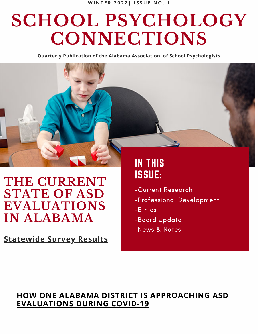# **SCHOOL PSYCHOLOGY CONNECTIONS**

**Quarterly Publication of the Alabama Association of School Psychologists**

## **THE CURRENT STATE OF ASD EVALUATIONS IN ALABAMA**

**[Statewide](https://docs.google.com/document/d/1b24siOKrnTeH8_IGQX6inuGhK-grvvU6/edit) Survey Results**

## IN THIS ISSUE:

- -Current Research
- -Professional Development
- -Ethics
- -Board Update
- -News & Notes

### **HOW ONE ALABAMA DISTRICT IS [APPROACHING](https://documentcloud.adobe.com/link/track?uri=urn:aaid:scds:US:57b5a706-962c-4f98-82c3-b35cecd00747) ASD EVALUATIONS DURING COVID-19**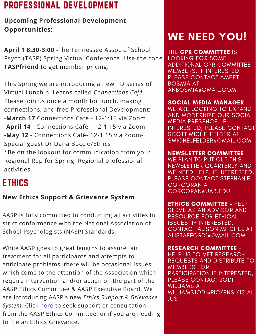## <span id="page-1-0"></span>PROFESSIONAL DEVELOPMENT

#### **Upcoming Professional Development Opportunities:**

**April 1 8:30-3:00** -The Tennessee Assoc of School Psych (TASP) Spring Virtual Conference -Use the code **TASPfriend** to get member pricing.

This Spring we are introducing a new PD series of Virtual Lunch n' Learns called *Connections Café*. Please join us once a month for lunch, making connections, and free Professional Development: -**March 17** Connections Café - 12-1:15 via Zoom -**April 14** - Connections Café - 12-1:15 via Zoom -**May 12** - Connections Café- 12-1:15 via Zoom-Special guest Dr Dana Boccio/Ethics \*Be on the lookout for communication from your Regional Rep for Spring Regional professional activities.

## ETHICS

#### **New Ethics Support & Grievance System**

AASP is fully committed to conducting all activities in strict conformance with the National Association of School Psychologists (NASP) Standards.

While AASP goes to great lengths to assure fair treatment for all participants and attempts to anticipate problems, there will be occasional issues which come to the attention of the Association which require intervention and/or action on the part of the AASP Ethics Committee & AASP Executive Board. We are introducing AASP's new *Ethics Support & Grievance* System. Click [here](https://forms.gle/NNFvnbxvdiMw3awQ8) to seek support or consultation from the AASP Ethics Committee, or if you are needing to file an Ethics Grievance.

# WE NEED YOU!

THE GPR COMMITTEE IS LOOKING FOR SOME ADDITIONAL GPR COMMITTEE MEMBERS. IF INTERESTED, PLEASE CONTACT AMEET BOSMIA AT ANBOSMIA@GMAIL.COM .

SOCIAL MEDIA MANAGER-WE ARE LOOKING TO EXPAND AND MODERNIZE OUR SOCIAL MEDIA PRESENCE. IF INTERESTED, PLEASE CONTACT SCOTT MICHELFELDER AT SMICHELFELDER@GMAIL.COM

NEWSLETTER COMMITTEE - WE PLAN TO PUT OUT THIS NEWSLETTER QUARTERLY AND WE NEED HELP. IF INTERESTED, PLEASE CONTACT STEPHANIE CORCORAN AT CORCORAN@UAB.EDU.

**ETHICS COMMITTEE - HELP** SERVE AS AN ADVISOR AND RESOURCE FOR ETHICAL ISSUES. IF INTERESTED, CONTACT ALISON MITCHEL AT ALISTAFFORD1@GMAIL.COM

RESEARCH COMMITTEE - HELP US TO VET RESEARCH REQUESTS AND DISTRIBUTE TO MEMBERS FOR PARTICIPATION.IF INTERESTED, PLEASE CONTACT JODI WILLIAMS AT WILLIAMSJODI@PICKENS.K12.AL .US